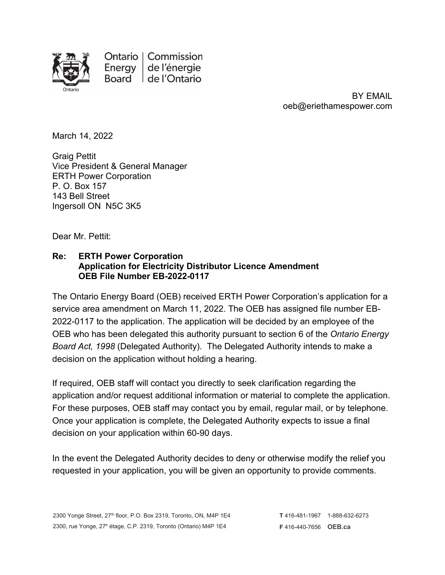

Ontario | Commission Energy de l'énergie Board de l'Ontario

> BY EMAIL oeb@eriethamespower.com

March 14, 2022

Graig Pettit Vice President & General Manager ERTH Power Corporation P. O. Box 157 143 Bell Street Ingersoll ON N5C 3K5

Dear Mr. Pettit:

## **Re: ERTH Power Corporation Application for Electricity Distributor Licence Amendment OEB File Number EB-2022-0117**

The Ontario Energy Board (OEB) received ERTH Power Corporation's application for a service area amendment on March 11, 2022. The OEB has assigned file number EB-2022-0117 to the application. The application will be decided by an employee of the OEB who has been delegated this authority pursuant to section 6 of the *Ontario Energy Board Act, 1998* (Delegated Authority). The Delegated Authority intends to make a decision on the application without holding a hearing.

If required, OEB staff will contact you directly to seek clarification regarding the application and/or request additional information or material to complete the application. For these purposes, OEB staff may contact you by email, regular mail, or by telephone. Once your application is complete, the Delegated Authority expects to issue a final decision on your application within 60-90 days.

In the event the Delegated Authority decides to deny or otherwise modify the relief you requested in your application, you will be given an opportunity to provide comments.